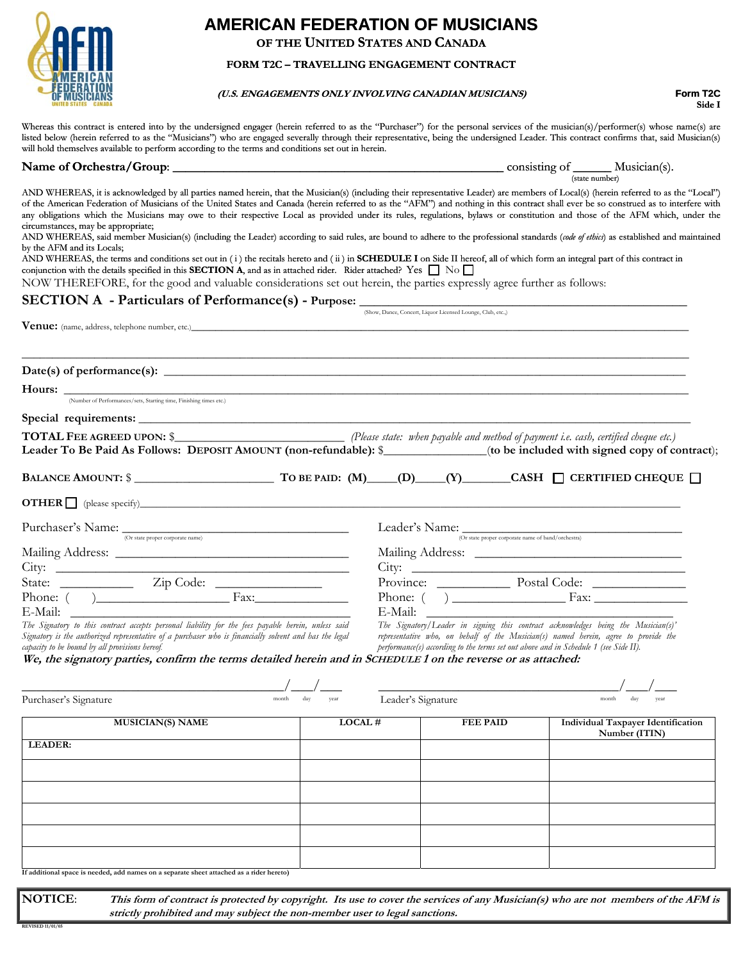

# **AMERICAN FEDERATION OF MUSICIANS**

**OF THE UNITED STATES AND CANADA** 

## **FORM T2C – TRAVELLING ENGAGEMENT CONTRACT**

### **(U.S. ENGAGEMENTS ONLY INVOLVING CANADIAN MUSICIANS) Form T2C**

**Side I**

Whereas this contract is entered into by the undersigned engager (herein referred to as the "Purchaser") for the personal services of the musician(s)/performer(s) whose name(s) are listed below (herein referred to as the "Musicians") who are engaged severally through their representative, being the undersigned Leader. This contract confirms that, said Musician(s) will hold themselves available to perform according to the terms and conditions set out in herein.

**Name of Orchestra/Group**: \_\_\_\_\_\_\_\_\_\_\_\_\_\_\_\_\_\_\_\_\_\_\_\_\_\_\_\_\_\_\_\_\_\_\_\_\_\_\_\_\_\_\_\_\_\_\_\_\_\_\_\_ consisting of \_\_\_\_\_\_ Musician(s).

| (state number)                                                                                                                                                                                                                                                                                                                                                                                                                                                                                                                                                                                                                                                                                                                                                                                 |                      |                                                                                      |  |                                                                                                                                                                          |
|------------------------------------------------------------------------------------------------------------------------------------------------------------------------------------------------------------------------------------------------------------------------------------------------------------------------------------------------------------------------------------------------------------------------------------------------------------------------------------------------------------------------------------------------------------------------------------------------------------------------------------------------------------------------------------------------------------------------------------------------------------------------------------------------|----------------------|--------------------------------------------------------------------------------------|--|--------------------------------------------------------------------------------------------------------------------------------------------------------------------------|
| AND WHEREAS, it is acknowledged by all parties named herein, that the Musician(s) (including their representative Leader) are members of Local(s) (herein referred to as the "Local")<br>of the American Federation of Musicians of the United States and Canada (herein referred to as the "AFM") and nothing in this contract shall ever be so construed as to interfere with<br>any obligations which the Musicians may owe to their respective Local as provided under its rules, regulations, bylaws or constitution and those of the AFM which, under the<br>circumstances, may be appropriate;<br>AND WHEREAS, said member Musician(s) (including the Leader) according to said rules, are bound to adhere to the professional standards (code of ethics) as established and maintained |                      |                                                                                      |  |                                                                                                                                                                          |
| by the AFM and its Locals;<br>AND WHEREAS, the terms and conditions set out in (i) the recitals hereto and (ii) in <b>SCHEDULE I</b> on Side II hereof, all of which form an integral part of this contract in<br>conjunction with the details specified in this <b>SECTION A</b> , and as in attached rider. Rider attached? Yes $\Box$ No $\Box$<br>NOW THEREFORE, for the good and valuable considerations set out herein, the parties expressly agree further as follows:                                                                                                                                                                                                                                                                                                                  |                      |                                                                                      |  |                                                                                                                                                                          |
| <b>SECTION A</b> - Particulars of Performance(s) - Purpose:                                                                                                                                                                                                                                                                                                                                                                                                                                                                                                                                                                                                                                                                                                                                    |                      |                                                                                      |  |                                                                                                                                                                          |
| Venue: (name, address, telephone number, etc.)___________________________________                                                                                                                                                                                                                                                                                                                                                                                                                                                                                                                                                                                                                                                                                                              |                      | (Show, Dance, Concert, Liquor Licensed Lounge, Club, etc.,)                          |  |                                                                                                                                                                          |
|                                                                                                                                                                                                                                                                                                                                                                                                                                                                                                                                                                                                                                                                                                                                                                                                |                      |                                                                                      |  |                                                                                                                                                                          |
| $Date(s)$ of performance(s): $\qquad \qquad$                                                                                                                                                                                                                                                                                                                                                                                                                                                                                                                                                                                                                                                                                                                                                   |                      |                                                                                      |  |                                                                                                                                                                          |
| Hours: <u>Number of Performances/sets, Starting time, Finishing times etc.</u>                                                                                                                                                                                                                                                                                                                                                                                                                                                                                                                                                                                                                                                                                                                 |                      |                                                                                      |  |                                                                                                                                                                          |
|                                                                                                                                                                                                                                                                                                                                                                                                                                                                                                                                                                                                                                                                                                                                                                                                |                      |                                                                                      |  |                                                                                                                                                                          |
|                                                                                                                                                                                                                                                                                                                                                                                                                                                                                                                                                                                                                                                                                                                                                                                                |                      |                                                                                      |  |                                                                                                                                                                          |
|                                                                                                                                                                                                                                                                                                                                                                                                                                                                                                                                                                                                                                                                                                                                                                                                |                      |                                                                                      |  |                                                                                                                                                                          |
| Leader To Be Paid As Follows: DEPOSIT AMOUNT (non-refundable): \$______________(to be included with signed copy of contract);                                                                                                                                                                                                                                                                                                                                                                                                                                                                                                                                                                                                                                                                  |                      |                                                                                      |  |                                                                                                                                                                          |
|                                                                                                                                                                                                                                                                                                                                                                                                                                                                                                                                                                                                                                                                                                                                                                                                |                      |                                                                                      |  |                                                                                                                                                                          |
|                                                                                                                                                                                                                                                                                                                                                                                                                                                                                                                                                                                                                                                                                                                                                                                                |                      |                                                                                      |  |                                                                                                                                                                          |
| Purchaser's Name: <sub>(Or state proper corporate name)</sub>                                                                                                                                                                                                                                                                                                                                                                                                                                                                                                                                                                                                                                                                                                                                  |                      |                                                                                      |  | Leader's Name: $\overline{\text{Cov}_{\text{state proper coporate name of band/orchestra}}}$                                                                             |
|                                                                                                                                                                                                                                                                                                                                                                                                                                                                                                                                                                                                                                                                                                                                                                                                |                      |                                                                                      |  |                                                                                                                                                                          |
|                                                                                                                                                                                                                                                                                                                                                                                                                                                                                                                                                                                                                                                                                                                                                                                                |                      |                                                                                      |  |                                                                                                                                                                          |
|                                                                                                                                                                                                                                                                                                                                                                                                                                                                                                                                                                                                                                                                                                                                                                                                |                      |                                                                                      |  |                                                                                                                                                                          |
| Phone: $\overline{ }$ $\overline{ }$ $\overline{ }$ $\overline{ }$ $\overline{ }$ $\overline{ }$ $\overline{ }$ $\overline{ }$ $\overline{ }$ $\overline{ }$ $\overline{ }$ $\overline{ }$ $\overline{ }$ $\overline{ }$ $\overline{ }$ $\overline{ }$ $\overline{ }$ $\overline{ }$ $\overline{ }$ $\overline{ }$ $\overline{ }$ $\overline{ }$ $\overline{ }$ $\overline{ }$ $\overline{ }$ $\overline{ }$ $\overline{ }$                                                                                                                                                                                                                                                                                                                                                                    |                      |                                                                                      |  |                                                                                                                                                                          |
| E-Mail:                                                                                                                                                                                                                                                                                                                                                                                                                                                                                                                                                                                                                                                                                                                                                                                        |                      | E-Mail:                                                                              |  |                                                                                                                                                                          |
| The Signatory to this contract accepts personal liability for the fees payable herein, unless said<br>Signatory is the authorized representative of a purchaser who is financially solvent and has the legal<br>capacity to be bound by all provisions hereof.                                                                                                                                                                                                                                                                                                                                                                                                                                                                                                                                 |                      | performance(s) according to the terms set out above and in Schedule 1 (see Side II). |  | The Signatory/Leader in signing this contract acknowledges being the Musician(s)'<br>representative who, on behalf of the Musician(s) named herein, agree to provide the |
| We, the signatory parties, confirm the terms detailed herein and in SCHEDULE 1 on the reverse or as attached:                                                                                                                                                                                                                                                                                                                                                                                                                                                                                                                                                                                                                                                                                  |                      |                                                                                      |  |                                                                                                                                                                          |
|                                                                                                                                                                                                                                                                                                                                                                                                                                                                                                                                                                                                                                                                                                                                                                                                |                      |                                                                                      |  |                                                                                                                                                                          |
| Purchaser's Signature                                                                                                                                                                                                                                                                                                                                                                                                                                                                                                                                                                                                                                                                                                                                                                          | month<br>day<br>year | Leader's Signature                                                                   |  | day<br>month<br>vear                                                                                                                                                     |
| <b>MUSICIAN(S) NAME</b>                                                                                                                                                                                                                                                                                                                                                                                                                                                                                                                                                                                                                                                                                                                                                                        | LOCAL#               | <b>FEE PAID</b>                                                                      |  | <b>Individual Taxpayer Identification</b><br>Number (ITIN)                                                                                                               |
| LEADER:                                                                                                                                                                                                                                                                                                                                                                                                                                                                                                                                                                                                                                                                                                                                                                                        |                      |                                                                                      |  |                                                                                                                                                                          |
|                                                                                                                                                                                                                                                                                                                                                                                                                                                                                                                                                                                                                                                                                                                                                                                                |                      |                                                                                      |  |                                                                                                                                                                          |
|                                                                                                                                                                                                                                                                                                                                                                                                                                                                                                                                                                                                                                                                                                                                                                                                |                      |                                                                                      |  |                                                                                                                                                                          |
|                                                                                                                                                                                                                                                                                                                                                                                                                                                                                                                                                                                                                                                                                                                                                                                                |                      |                                                                                      |  |                                                                                                                                                                          |
|                                                                                                                                                                                                                                                                                                                                                                                                                                                                                                                                                                                                                                                                                                                                                                                                |                      |                                                                                      |  |                                                                                                                                                                          |
|                                                                                                                                                                                                                                                                                                                                                                                                                                                                                                                                                                                                                                                                                                                                                                                                |                      |                                                                                      |  |                                                                                                                                                                          |
|                                                                                                                                                                                                                                                                                                                                                                                                                                                                                                                                                                                                                                                                                                                                                                                                |                      |                                                                                      |  |                                                                                                                                                                          |
|                                                                                                                                                                                                                                                                                                                                                                                                                                                                                                                                                                                                                                                                                                                                                                                                |                      |                                                                                      |  |                                                                                                                                                                          |

**If additional space is needed, add names on a separate sheet attached as a rider hereto)** 

**NOTICE**: **This form of contract is protected by copyright. Its use to cover the services of any Musician(s) who are not members of the AFM is strictly prohibited and may subject the non-member user to legal sanctions.**